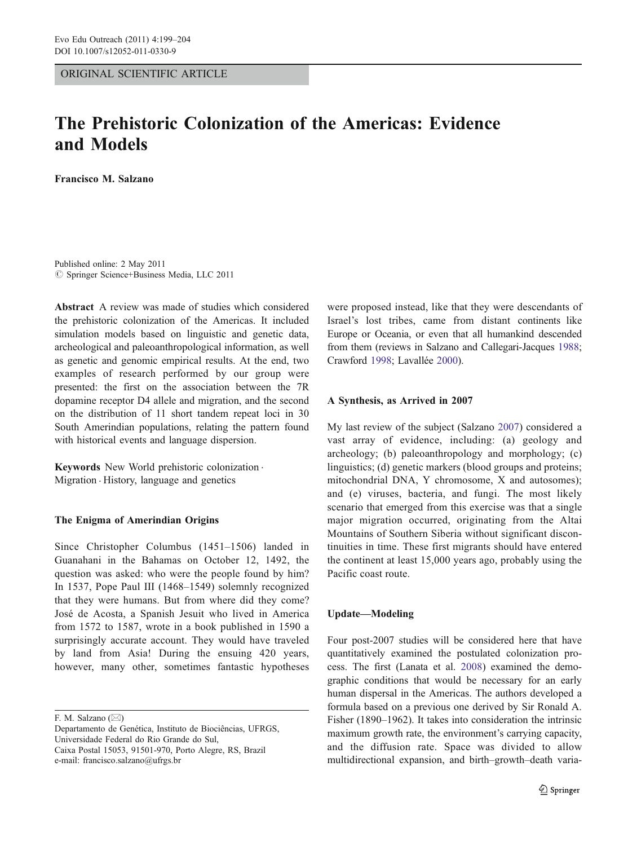ORIGINAL SCIENTIFIC ARTICLE

# The Prehistoric Colonization of the Americas: Evidence and Models

Francisco M. Salzano

Published online: 2 May 2011  $©$  Springer Science+Business Media, LLC 2011

Abstract A review was made of studies which considered the prehistoric colonization of the Americas. It included simulation models based on linguistic and genetic data, archeological and paleoanthropological information, as well as genetic and genomic empirical results. At the end, two examples of research performed by our group were presented: the first on the association between the 7R dopamine receptor D4 allele and migration, and the second on the distribution of 11 short tandem repeat loci in 30 South Amerindian populations, relating the pattern found with historical events and language dispersion.

Keywords New World prehistoric colonization . Migration . History, language and genetics

## The Enigma of Amerindian Origins

Since Christopher Columbus (1451–1506) landed in Guanahani in the Bahamas on October 12, 1492, the question was asked: who were the people found by him? In 1537, Pope Paul III (1468–1549) solemnly recognized that they were humans. But from where did they come? José de Acosta, a Spanish Jesuit who lived in America from 1572 to 1587, wrote in a book published in 1590 a surprisingly accurate account. They would have traveled by land from Asia! During the ensuing 420 years, however, many other, sometimes fantastic hypotheses

F. M. Salzano ( $\boxtimes$ )

Departamento de Genética, Instituto de Biociências, UFRGS, Universidade Federal do Rio Grande do Sul, Caixa Postal 15053, 91501-970, Porto Alegre, RS, Brazil

e-mail: francisco.salzano@ufrgs.br

were proposed instead, like that they were descendants of Israel's lost tribes, came from distant continents like Europe or Oceania, or even that all humankind descended from them (reviews in Salzano and Callegari-Jacques [1988;](#page-5-0) Crawford [1998](#page-5-0); Lavallée [2000](#page-5-0)).

## A Synthesis, as Arrived in 2007

My last review of the subject (Salzano [2007\)](#page-5-0) considered a vast array of evidence, including: (a) geology and archeology; (b) paleoanthropology and morphology; (c) linguistics; (d) genetic markers (blood groups and proteins; mitochondrial DNA, Y chromosome, X and autosomes); and (e) viruses, bacteria, and fungi. The most likely scenario that emerged from this exercise was that a single major migration occurred, originating from the Altai Mountains of Southern Siberia without significant discontinuities in time. These first migrants should have entered the continent at least 15,000 years ago, probably using the Pacific coast route.

# Update—Modeling

Four post-2007 studies will be considered here that have quantitatively examined the postulated colonization process. The first (Lanata et al. [2008](#page-5-0)) examined the demographic conditions that would be necessary for an early human dispersal in the Americas. The authors developed a formula based on a previous one derived by Sir Ronald A. Fisher (1890–1962). It takes into consideration the intrinsic maximum growth rate, the environment's carrying capacity, and the diffusion rate. Space was divided to allow multidirectional expansion, and birth–growth–death varia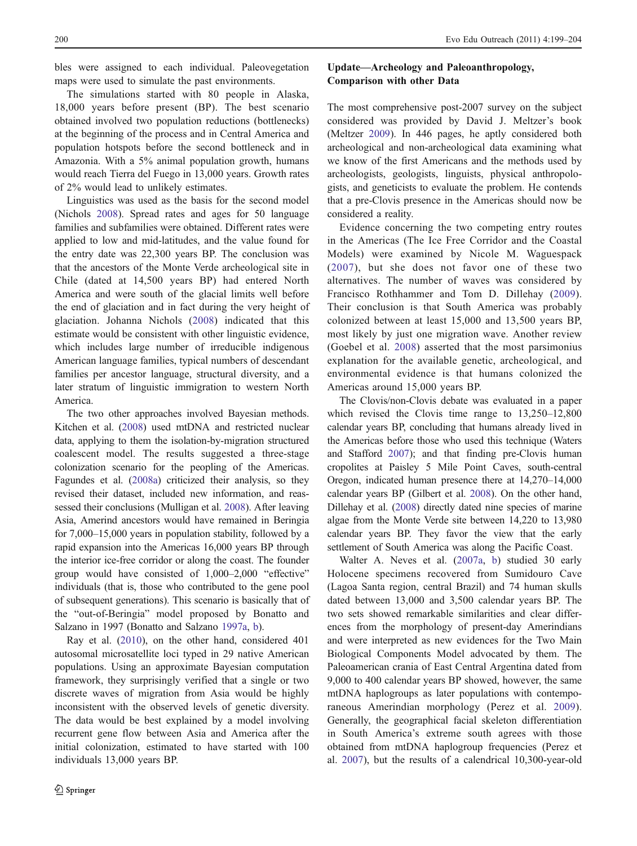bles were assigned to each individual. Paleovegetation maps were used to simulate the past environments.

The simulations started with 80 people in Alaska, 18,000 years before present (BP). The best scenario obtained involved two population reductions (bottlenecks) at the beginning of the process and in Central America and population hotspots before the second bottleneck and in Amazonia. With a 5% animal population growth, humans would reach Tierra del Fuego in 13,000 years. Growth rates of 2% would lead to unlikely estimates.

Linguistics was used as the basis for the second model (Nichols [2008](#page-5-0)). Spread rates and ages for 50 language families and subfamilies were obtained. Different rates were applied to low and mid-latitudes, and the value found for the entry date was 22,300 years BP. The conclusion was that the ancestors of the Monte Verde archeological site in Chile (dated at 14,500 years BP) had entered North America and were south of the glacial limits well before the end of glaciation and in fact during the very height of glaciation. Johanna Nichols ([2008](#page-5-0)) indicated that this estimate would be consistent with other linguistic evidence, which includes large number of irreducible indigenous American language families, typical numbers of descendant families per ancestor language, structural diversity, and a later stratum of linguistic immigration to western North America.

The two other approaches involved Bayesian methods. Kitchen et al. [\(2008\)](#page-5-0) used mtDNA and restricted nuclear data, applying to them the isolation-by-migration structured coalescent model. The results suggested a three-stage colonization scenario for the peopling of the Americas. Fagundes et al. ([2008a](#page-5-0)) criticized their analysis, so they revised their dataset, included new information, and reassessed their conclusions (Mulligan et al. [2008](#page-5-0)). After leaving Asia, Amerind ancestors would have remained in Beringia for 7,000–15,000 years in population stability, followed by a rapid expansion into the Americas 16,000 years BP through the interior ice-free corridor or along the coast. The founder group would have consisted of 1,000–2,000 "effective" individuals (that is, those who contributed to the gene pool of subsequent generations). This scenario is basically that of the "out-of-Beringia" model proposed by Bonatto and Salzano in 1997 (Bonatto and Salzano [1997a](#page-4-0), [b\)](#page-4-0).

Ray et al. ([2010\)](#page-5-0), on the other hand, considered 401 autosomal microsatellite loci typed in 29 native American populations. Using an approximate Bayesian computation framework, they surprisingly verified that a single or two discrete waves of migration from Asia would be highly inconsistent with the observed levels of genetic diversity. The data would be best explained by a model involving recurrent gene flow between Asia and America after the initial colonization, estimated to have started with 100 individuals 13,000 years BP.

# Update—Archeology and Paleoanthropology, Comparison with other Data

The most comprehensive post-2007 survey on the subject considered was provided by David J. Meltzer's book (Meltzer [2009\)](#page-5-0). In 446 pages, he aptly considered both archeological and non-archeological data examining what we know of the first Americans and the methods used by archeologists, geologists, linguists, physical anthropologists, and geneticists to evaluate the problem. He contends that a pre-Clovis presence in the Americas should now be considered a reality.

Evidence concerning the two competing entry routes in the Americas (The Ice Free Corridor and the Coastal Models) were examined by Nicole M. Waguespack ([2007](#page-5-0)), but she does not favor one of these two alternatives. The number of waves was considered by Francisco Rothhammer and Tom D. Dillehay ([2009](#page-5-0)). Their conclusion is that South America was probably colonized between at least 15,000 and 13,500 years BP, most likely by just one migration wave. Another review (Goebel et al. [2008](#page-5-0)) asserted that the most parsimonius explanation for the available genetic, archeological, and environmental evidence is that humans colonized the Americas around 15,000 years BP.

The Clovis/non-Clovis debate was evaluated in a paper which revised the Clovis time range to 13,250–12,800 calendar years BP, concluding that humans already lived in the Americas before those who used this technique (Waters and Stafford [2007\)](#page-5-0); and that finding pre-Clovis human cropolites at Paisley 5 Mile Point Caves, south-central Oregon, indicated human presence there at 14,270–14,000 calendar years BP (Gilbert et al. [2008](#page-5-0)). On the other hand, Dillehay et al. ([2008](#page-5-0)) directly dated nine species of marine algae from the Monte Verde site between 14,220 to 13,980 calendar years BP. They favor the view that the early settlement of South America was along the Pacific Coast.

Walter A. Neves et al. [\(2007a,](#page-5-0) [b](#page-5-0)) studied 30 early Holocene specimens recovered from Sumidouro Cave (Lagoa Santa region, central Brazil) and 74 human skulls dated between 13,000 and 3,500 calendar years BP. The two sets showed remarkable similarities and clear differences from the morphology of present-day Amerindians and were interpreted as new evidences for the Two Main Biological Components Model advocated by them. The Paleoamerican crania of East Central Argentina dated from 9,000 to 400 calendar years BP showed, however, the same mtDNA haplogroups as later populations with contemporaneous Amerindian morphology (Perez et al. [2009](#page-5-0)). Generally, the geographical facial skeleton differentiation in South America's extreme south agrees with those obtained from mtDNA haplogroup frequencies (Perez et al. [2007\)](#page-5-0), but the results of a calendrical 10,300-year-old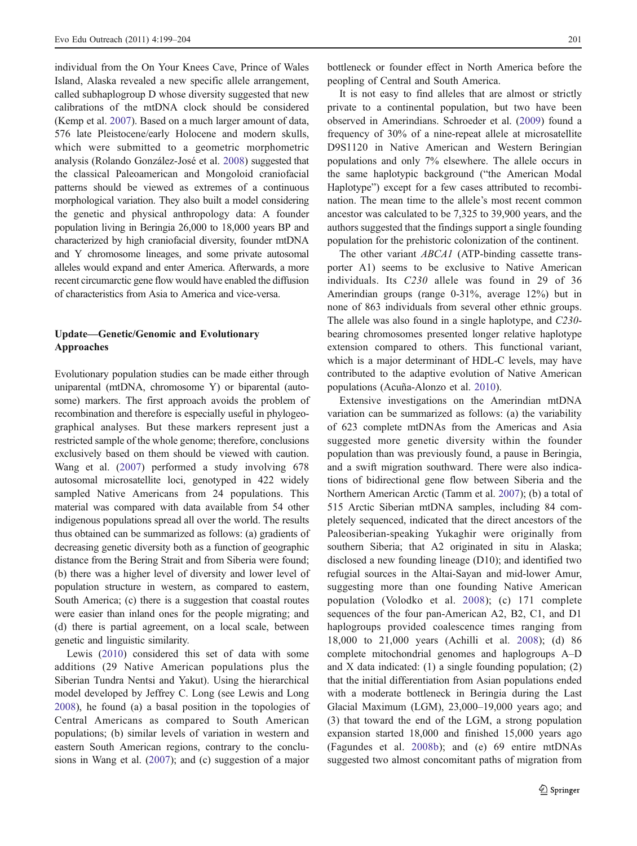individual from the On Your Knees Cave, Prince of Wales Island, Alaska revealed a new specific allele arrangement, called subhaplogroup D whose diversity suggested that new calibrations of the mtDNA clock should be considered (Kemp et al. [2007\)](#page-5-0). Based on a much larger amount of data, 576 late Pleistocene/early Holocene and modern skulls, which were submitted to a geometric morphometric analysis (Rolando González-José et al. [2008\)](#page-5-0) suggested that the classical Paleoamerican and Mongoloid craniofacial patterns should be viewed as extremes of a continuous morphological variation. They also built a model considering the genetic and physical anthropology data: A founder population living in Beringia 26,000 to 18,000 years BP and characterized by high craniofacial diversity, founder mtDNA and Y chromosome lineages, and some private autosomal alleles would expand and enter America. Afterwards, a more recent circumarctic gene flow would have enabled the diffusion of characteristics from Asia to America and vice-versa.

# Update—Genetic/Genomic and Evolutionary Approaches

Evolutionary population studies can be made either through uniparental (mtDNA, chromosome Y) or biparental (autosome) markers. The first approach avoids the problem of recombination and therefore is especially useful in phylogeographical analyses. But these markers represent just a restricted sample of the whole genome; therefore, conclusions exclusively based on them should be viewed with caution. Wang et al. ([2007](#page-5-0)) performed a study involving 678 autosomal microsatellite loci, genotyped in 422 widely sampled Native Americans from 24 populations. This material was compared with data available from 54 other indigenous populations spread all over the world. The results thus obtained can be summarized as follows: (a) gradients of decreasing genetic diversity both as a function of geographic distance from the Bering Strait and from Siberia were found; (b) there was a higher level of diversity and lower level of population structure in western, as compared to eastern, South America; (c) there is a suggestion that coastal routes were easier than inland ones for the people migrating; and (d) there is partial agreement, on a local scale, between genetic and linguistic similarity.

Lewis [\(2010](#page-5-0)) considered this set of data with some additions (29 Native American populations plus the Siberian Tundra Nentsi and Yakut). Using the hierarchical model developed by Jeffrey C. Long (see Lewis and Long [2008\)](#page-5-0), he found (a) a basal position in the topologies of Central Americans as compared to South American populations; (b) similar levels of variation in western and eastern South American regions, contrary to the conclusions in Wang et al. [\(2007](#page-5-0)); and (c) suggestion of a major

bottleneck or founder effect in North America before the peopling of Central and South America.

It is not easy to find alleles that are almost or strictly private to a continental population, but two have been observed in Amerindians. Schroeder et al. ([2009\)](#page-5-0) found a frequency of 30% of a nine-repeat allele at microsatellite D9S1120 in Native American and Western Beringian populations and only 7% elsewhere. The allele occurs in the same haplotypic background ("the American Modal Haplotype") except for a few cases attributed to recombination. The mean time to the allele's most recent common ancestor was calculated to be 7,325 to 39,900 years, and the authors suggested that the findings support a single founding population for the prehistoric colonization of the continent.

The other variant *ABCA1* (ATP-binding cassette transporter A1) seems to be exclusive to Native American individuals. Its C230 allele was found in 29 of 36 Amerindian groups (range 0-31%, average 12%) but in none of 863 individuals from several other ethnic groups. The allele was also found in a single haplotype, and C230 bearing chromosomes presented longer relative haplotype extension compared to others. This functional variant, which is a major determinant of HDL-C levels, may have contributed to the adaptive evolution of Native American populations (Acuña-Alonzo et al. [2010\)](#page-4-0).

Extensive investigations on the Amerindian mtDNA variation can be summarized as follows: (a) the variability of 623 complete mtDNAs from the Americas and Asia suggested more genetic diversity within the founder population than was previously found, a pause in Beringia, and a swift migration southward. There were also indications of bidirectional gene flow between Siberia and the Northern American Arctic (Tamm et al. [2007](#page-5-0)); (b) a total of 515 Arctic Siberian mtDNA samples, including 84 completely sequenced, indicated that the direct ancestors of the Paleosiberian-speaking Yukaghir were originally from southern Siberia; that A2 originated in situ in Alaska; disclosed a new founding lineage (D10); and identified two refugial sources in the Altai-Sayan and mid-lower Amur, suggesting more than one founding Native American population (Volodko et al. [2008\)](#page-5-0); (c) 171 complete sequences of the four pan-American A2, B2, C1, and D1 haplogroups provided coalescence times ranging from 18,000 to 21,000 years (Achilli et al. [2008\)](#page-4-0); (d) 86 complete mitochondrial genomes and haplogroups A–D and X data indicated:  $(1)$  a single founding population;  $(2)$ that the initial differentiation from Asian populations ended with a moderate bottleneck in Beringia during the Last Glacial Maximum (LGM), 23,000–19,000 years ago; and (3) that toward the end of the LGM, a strong population expansion started 18,000 and finished 15,000 years ago (Fagundes et al. [2008b\)](#page-5-0); and (e) 69 entire mtDNAs suggested two almost concomitant paths of migration from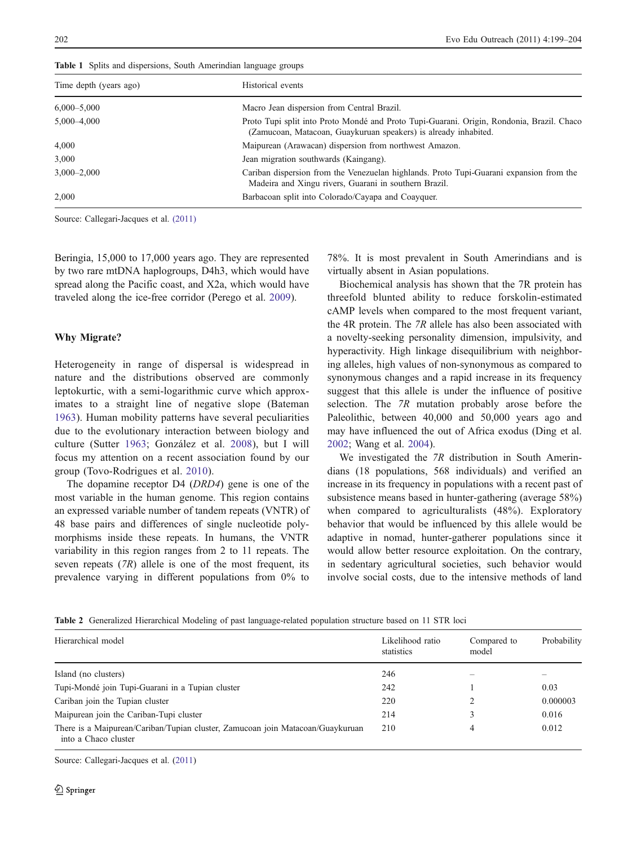| Time depth (years ago) | Historical events                                                                                                                                            |
|------------------------|--------------------------------------------------------------------------------------------------------------------------------------------------------------|
| $6,000 - 5,000$        | Macro Jean dispersion from Central Brazil.                                                                                                                   |
| $5,000-4,000$          | Proto Tupi split into Proto Mondé and Proto Tupi-Guarani. Origin, Rondonia, Brazil. Chaco<br>(Zamucoan, Matacoan, Guaykuruan speakers) is already inhabited. |
| 4,000                  | Maipurean (Arawacan) dispersion from northwest Amazon.                                                                                                       |
| 3,000                  | Jean migration southwards (Kaingang).                                                                                                                        |
| $3,000 - 2,000$        | Cariban dispersion from the Venezuelan highlands. Proto Tupi-Guarani expansion from the<br>Madeira and Xingu rivers, Guarani in southern Brazil.             |
| 2,000                  | Barbacoan split into Colorado/Cayapa and Coayquer.                                                                                                           |

<span id="page-3-0"></span>Table 1 Splits and dispersions, South Amerindian language groups

Source: Callegari-Jacques et al. [\(2011\)](#page-4-0)

Beringia, 15,000 to 17,000 years ago. They are represented by two rare mtDNA haplogroups, D4h3, which would have spread along the Pacific coast, and X2a, which would have traveled along the ice-free corridor (Perego et al. [2009\)](#page-5-0).

### Why Migrate?

Heterogeneity in range of dispersal is widespread in nature and the distributions observed are commonly leptokurtic, with a semi-logarithmic curve which approximates to a straight line of negative slope (Bateman [1963](#page-4-0)). Human mobility patterns have several peculiarities due to the evolutionary interaction between biology and culture (Sutter [1963](#page-5-0); González et al. [2008\)](#page-5-0), but I will focus my attention on a recent association found by our group (Tovo-Rodrigues et al. [2010](#page-5-0)).

The dopamine receptor D4 (DRD4) gene is one of the most variable in the human genome. This region contains an expressed variable number of tandem repeats (VNTR) of 48 base pairs and differences of single nucleotide polymorphisms inside these repeats. In humans, the VNTR variability in this region ranges from 2 to 11 repeats. The seven repeats  $(7R)$  allele is one of the most frequent, its prevalence varying in different populations from 0% to

78%. It is most prevalent in South Amerindians and is virtually absent in Asian populations.

Biochemical analysis has shown that the 7R protein has threefold blunted ability to reduce forskolin-estimated cAMP levels when compared to the most frequent variant, the 4R protein. The 7R allele has also been associated with a novelty-seeking personality dimension, impulsivity, and hyperactivity. High linkage disequilibrium with neighboring alleles, high values of non-synonymous as compared to synonymous changes and a rapid increase in its frequency suggest that this allele is under the influence of positive selection. The 7R mutation probably arose before the Paleolithic, between 40,000 and 50,000 years ago and may have influenced the out of Africa exodus (Ding et al. [2002](#page-5-0); Wang et al. [2004\)](#page-5-0).

We investigated the 7R distribution in South Amerindians (18 populations, 568 individuals) and verified an increase in its frequency in populations with a recent past of subsistence means based in hunter-gathering (average 58%) when compared to agriculturalists (48%). Exploratory behavior that would be influenced by this allele would be adaptive in nomad, hunter-gatherer populations since it would allow better resource exploitation. On the contrary, in sedentary agricultural societies, such behavior would involve social costs, due to the intensive methods of land

Table 2 Generalized Hierarchical Modeling of past language-related population structure based on 11 STR loci

| Hierarchical model                                                                                     | Likelihood ratio | Compared to | Probability |
|--------------------------------------------------------------------------------------------------------|------------------|-------------|-------------|
|                                                                                                        | statistics       | model       |             |
| Island (no clusters)                                                                                   | 246              |             |             |
| Tupi-Mondé join Tupi-Guarani in a Tupian cluster                                                       | 242              |             | 0.03        |
| Cariban join the Tupian cluster                                                                        | 220              |             | 0.000003    |
| Maipurean join the Cariban-Tupi cluster                                                                | 214              |             | 0.016       |
| There is a Maipurean/Cariban/Tupian cluster, Zamucoan join Matacoan/Guaykuruan<br>into a Chaco cluster | 210              |             | 0.012       |

Source: Callegari-Jacques et al. [\(2011\)](#page-4-0)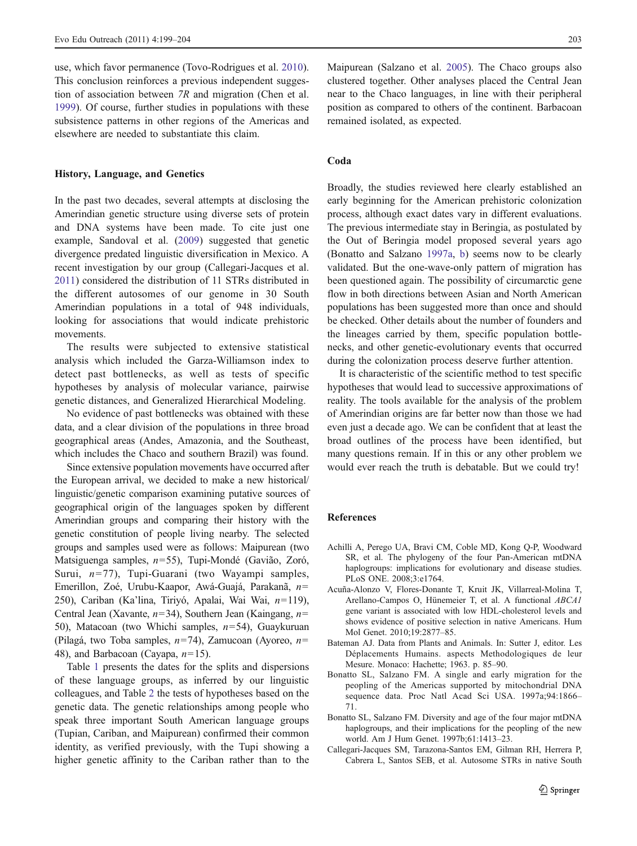<span id="page-4-0"></span>use, which favor permanence (Tovo-Rodrigues et al. [2010](#page-5-0)). This conclusion reinforces a previous independent suggestion of association between 7R and migration (Chen et al. [1999\)](#page-5-0). Of course, further studies in populations with these subsistence patterns in other regions of the Americas and elsewhere are needed to substantiate this claim.

#### History, Language, and Genetics

In the past two decades, several attempts at disclosing the Amerindian genetic structure using diverse sets of protein and DNA systems have been made. To cite just one example, Sandoval et al. ([2009\)](#page-5-0) suggested that genetic divergence predated linguistic diversification in Mexico. A recent investigation by our group (Callegari-Jacques et al. 2011) considered the distribution of 11 STRs distributed in the different autosomes of our genome in 30 South Amerindian populations in a total of 948 individuals, looking for associations that would indicate prehistoric movements.

The results were subjected to extensive statistical analysis which included the Garza-Williamson index to detect past bottlenecks, as well as tests of specific hypotheses by analysis of molecular variance, pairwise genetic distances, and Generalized Hierarchical Modeling.

No evidence of past bottlenecks was obtained with these data, and a clear division of the populations in three broad geographical areas (Andes, Amazonia, and the Southeast, which includes the Chaco and southern Brazil) was found.

Since extensive population movements have occurred after the European arrival, we decided to make a new historical/ linguistic/genetic comparison examining putative sources of geographical origin of the languages spoken by different Amerindian groups and comparing their history with the genetic constitution of people living nearby. The selected groups and samples used were as follows: Maipurean (two Matsiguenga samples,  $n=55$ ), Tupi-Mondé (Gavião, Zoró, Surui,  $n=77$ ), Tupi-Guarani (two Wayampi samples, Emerillon, Zoé, Urubu-Kaapor, Awá-Guajá, Parakanã, n= 250), Cariban (Ka'lina, Tiriyó, Apalai, Wai Wai,  $n=119$ ), Central Jean (Xavante,  $n=34$ ), Southern Jean (Kaingang,  $n=$ 50), Matacoan (two Whichi samples,  $n=54$ ), Guaykuruan (Pilagá, two Toba samples,  $n=74$ ), Zamucoan (Ayoreo,  $n=$ 48), and Barbacoan (Cayapa,  $n=15$ ).

Table [1](#page-3-0) presents the dates for the splits and dispersions of these language groups, as inferred by our linguistic colleagues, and Table [2](#page-3-0) the tests of hypotheses based on the genetic data. The genetic relationships among people who speak three important South American language groups (Tupian, Cariban, and Maipurean) confirmed their common identity, as verified previously, with the Tupi showing a higher genetic affinity to the Cariban rather than to the Maipurean (Salzano et al. [2005](#page-5-0)). The Chaco groups also clustered together. Other analyses placed the Central Jean near to the Chaco languages, in line with their peripheral position as compared to others of the continent. Barbacoan remained isolated, as expected.

## Coda

Broadly, the studies reviewed here clearly established an early beginning for the American prehistoric colonization process, although exact dates vary in different evaluations. The previous intermediate stay in Beringia, as postulated by the Out of Beringia model proposed several years ago (Bonatto and Salzano 1997a, b) seems now to be clearly validated. But the one-wave-only pattern of migration has been questioned again. The possibility of circumarctic gene flow in both directions between Asian and North American populations has been suggested more than once and should be checked. Other details about the number of founders and the lineages carried by them, specific population bottlenecks, and other genetic-evolutionary events that occurred during the colonization process deserve further attention.

It is characteristic of the scientific method to test specific hypotheses that would lead to successive approximations of reality. The tools available for the analysis of the problem of Amerindian origins are far better now than those we had even just a decade ago. We can be confident that at least the broad outlines of the process have been identified, but many questions remain. If in this or any other problem we would ever reach the truth is debatable. But we could try!

#### References

- Achilli A, Perego UA, Bravi CM, Coble MD, Kong Q-P, Woodward SR, et al. The phylogeny of the four Pan-American mtDNA haplogroups: implications for evolutionary and disease studies. PLoS ONE. 2008;3:e1764.
- Acuña-Alonzo V, Flores-Donante T, Kruit JK, Villarreal-Molina T, Arellano-Campos O, Hünemeier T, et al. A functional ABCA1 gene variant is associated with low HDL-cholesterol levels and shows evidence of positive selection in native Americans. Hum Mol Genet. 2010;19:2877–85.
- Bateman AJ. Data from Plants and Animals. In: Sutter J, editor. Les Déplacements Humains. aspects Methodologiques de leur Mesure. Monaco: Hachette; 1963. p. 85–90.
- Bonatto SL, Salzano FM. A single and early migration for the peopling of the Americas supported by mitochondrial DNA sequence data. Proc Natl Acad Sci USA. 1997a;94:1866– 71.
- Bonatto SL, Salzano FM. Diversity and age of the four major mtDNA haplogroups, and their implications for the peopling of the new world. Am J Hum Genet. 1997b;61:1413–23.
- Callegari-Jacques SM, Tarazona-Santos EM, Gilman RH, Herrera P, Cabrera L, Santos SEB, et al. Autosome STRs in native South